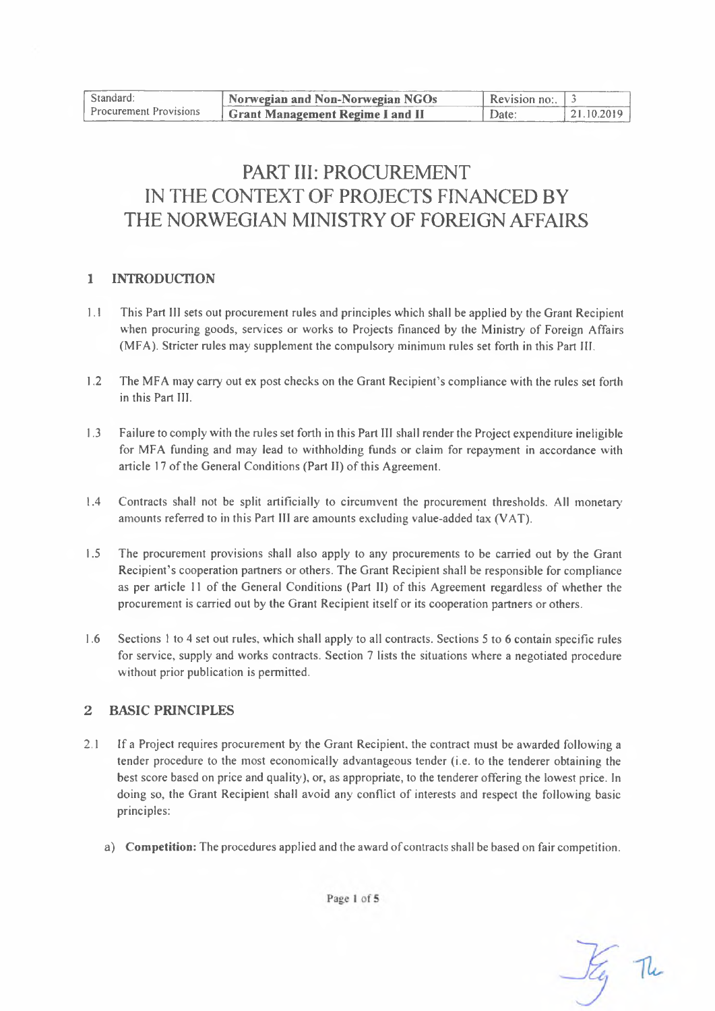| Standard:                     | Norwegian and Non-Norwegian NGOs | Revision no: $\frac{3}{2}$ |            |
|-------------------------------|----------------------------------|----------------------------|------------|
| <b>Procurement Provisions</b> | Grant Management Regime I and II | Date:                      | 21.10.2019 |

# PART III: PROCUREMENT IN THE CONTEXT OF PROJECTS FINANCED BY THE NORWEGIAN MINISTRY OF FOREIGN AFFAIRS

#### **1 INTRODUCTION**

- 1.1 This Part III sets out procurement rules and principles which shall be applied by the Grant Recipient when procuring goods, services or works to Projects financed by the Ministry of Foreign Affairs (MFA). Stricter rules may supplement the compulsory minimum rules set forth in this Part III.
- 1.2 The MFA may carry out ex post checks on the Grant Recipient's compliance with the rules set forth in this Part III.
- 1.3 Failure to comply with the rules set forth in this Part III shall render the Project expenditure ineligible for MFA funding and may lead to withholding funds or claim for repayment in accordance with article 17 of the General Conditions (Part II) of this Agreement.
- 1.4 Contracts shall not be split artificially to circumvent the procurement thresholds. All monetary amounts referred to in this Part III are amounts excluding value-added tax (VAT).
- 1.5 The procurement provisions shall also apply to any procurements to be carried out by the Grant Recipient's cooperation partners or others. The Grant Recipient shall be responsible for compliance as per article <sup>11</sup> of the General Conditions (Part II) of this Agreement regardless of whether the procurement is carried out by the Grant Recipient itself or its cooperation partners or others.
- 1.6 Sections <sup>I</sup> to 4 set out rules, which shall apply to all contracts. Sections 5 to 6 contain specific rules for service, supply and works contracts. Section 7 lists the situations where a negotiated procedure without prior publication is permitted.

#### **2 BASIC PRINCIPLES**

- 2.1 If a Project requires procurement by the Grant Recipient, the contract must be awarded following a tender procedure to the most economically advantageous tender (i.e. to the tenderer obtaining the best score based on price and quality), or, as appropriate, to the tenderer offering the lowest price. In doing so, the Grant Recipient shall avoid any conflict of interests and respect the following basic principles:
	- a) **Competition:** The procedures applied and the award ofcontracts shall be based on fair competition.



Page 1 of 5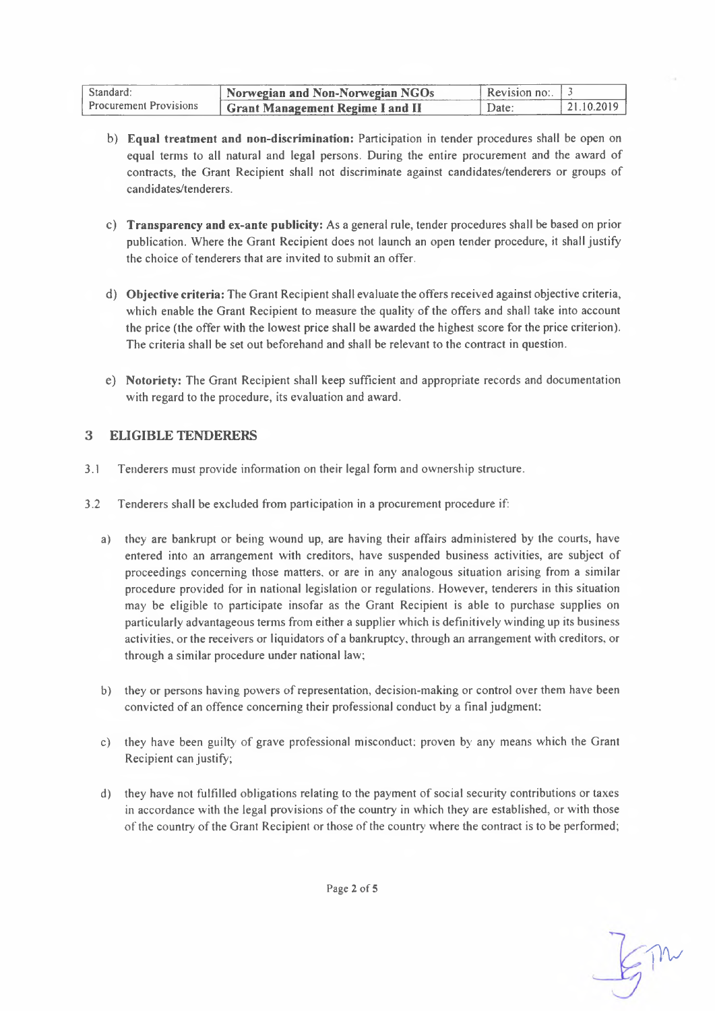| Standard:                     | Norwegian and Non-Norwegian NGOs         | Revision no: $\frac{3}{2}$ |            |
|-------------------------------|------------------------------------------|----------------------------|------------|
| <b>Procurement Provisions</b> | <b>Strant Management Regime I and II</b> | Date:                      | 21 10 2019 |

- b) **Equal treatment and non-discrimination:** Participation in tender procedures shall be open on equal terms to all natural and legal persons. During the entire procurement and the award of contracts, the Grant Recipient shall not discriminate against candidates/tenderers or groups of candidates/tenderers.
- c) **Transparency and ex-ante publicity:** As a general rule, tender procedures shall be based on prior publication. Where the Grant Recipient does not launch an open tender procedure, it shall justify the choice of tenderers that are invited to submit an offer.
- d) **Objective criteria:** The Grant Recipient shall evaluate the offers received against objective criteria, which enable the Grant Recipient to measure the quality of the offers and shall take into account the price (the offer with the lowest price shall be awarded the highest score for the price criterion). The criteria shall be set out beforehand and shall be relevant to the contract in question.
- e) **Notoriety:** The Grant Recipient shall keep sufficient and appropriate records and documentation with regard to the procedure, its evaluation and award.

## **3 ELIGIBLE TENDERERS**

- 3.1 Tenderers must provide information on their legal form and ownership structure.
- 3.2 Tenderers shall be excluded from participation in a procurement procedure if:
	- a) they are bankrupt or being wound up, are having their affairs administered by the courts, have entered into an arrangement with creditors, have suspended business activities, are subject of proceedings concerning those matters, or are in any analogous situation arising from a similar procedure provided for in national legislation or regulations. However, tenderers in this situation may be eligible to participate insofar as the Grant Recipient is able to purchase supplies on particularly advantageous terms from either a supplier which is definitively winding up its business activities, or the receivers or liquidators of a bankruptcy, through an arrangement with creditors, or through a similar procedure under national law;
	- b) they or persons having powers ofrepresentation, decision-making or control over them have been convicted of an offence concerning their professional conduct by a final judgment:
	- c) they have been guilty of grave professional misconduct: proven by any means which the Grant Recipient can justify;
	- d) they have not fulfilled obligations relating to the payment ofsocial security contributions or taxes in accordance with the legal provisions of the country in which they are established, or with those of the country of the Grant Recipient or those of the country where the contract is to be performed;

TIV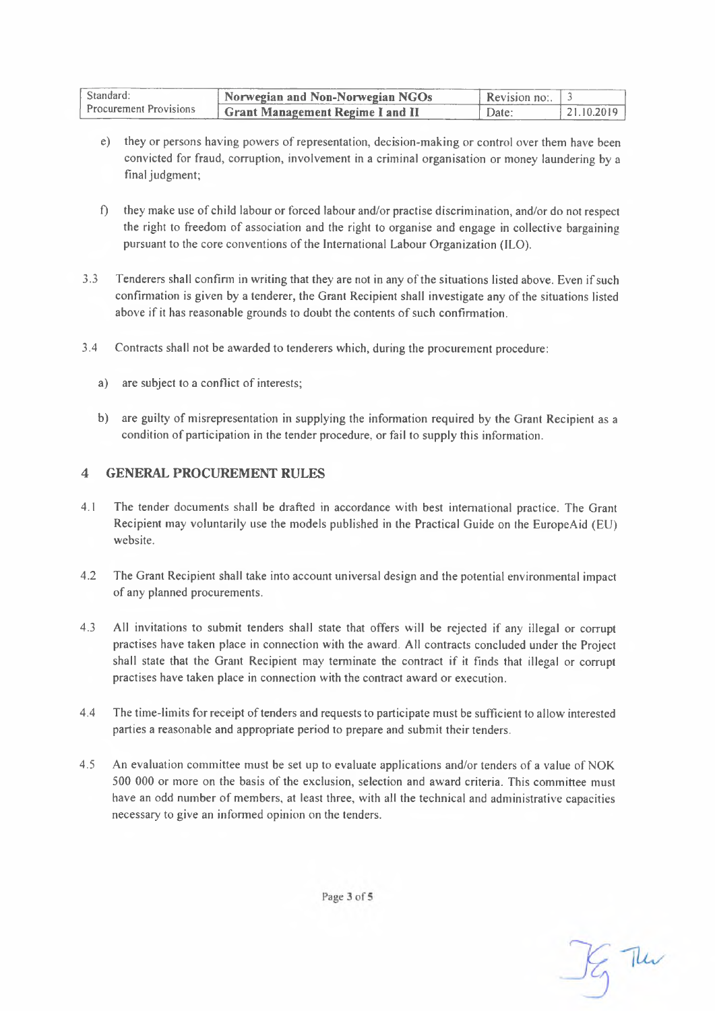| Standard:<br><b>Procurement Provisions</b> | Norwegian and Non-Norwegian NGOs | <b>Revision no:</b> $\frac{3}{5}$ |            |
|--------------------------------------------|----------------------------------|-----------------------------------|------------|
|                                            | Grant Management Regime I and II | Date:                             | 21 10 2019 |

- e) they or persons having powers of representation, decision-making or control over them have been convicted for fraud, corruption, involvement in a criminal organisation or money laundering by a final judgment;
- f) they make use of child labour or forced labour and/or practise discrimination, and/or do not respect the right to freedom of association and the right to organise and engage in collective bargaining pursuant to the core conventions of the International Labour Organization (ILO).
- 3.3 Tenderers shall confirm in writing that they are not in any ofthe situations listed above. Even ifsuch confirmation is given by a tenderer, the Grant Recipient shall investigate any ofthe situations listed above if it has reasonable grounds to doubt the contents of such confirmation.
- 3.4 Contracts shall not be awarded to tenderers which, during the procurement procedure:
	- a) are subject to a conflict of interests;
	- b) are guilty of misrepresentation in supplying the information required by the Grant Recipient as a condition of participation in the tender procedure, or fail to supply this information.

#### **4 GENERAL PROCUREMENT RULES**

- 4.1 The tender documents shall be drafted in accordance with best international practice. The Grant Recipient may voluntarily use the models published in the Practical Guide on the EuropeAid (EU) website.
- 4.2 The Grant Recipient shall take into account universal design and the potential environmental impact of any planned procurements.
- 4.3 All invitations to submit tenders shall state that offers will be rejected if any illegal or corrupt practises have taken place in connection with the award. All contracts concluded under the Project shall state that the Grant Recipient may terminate the contract if it finds that illegal or corrupt practises have taken place in connection with the contract award or execution.
- 4.4 The time-limits for receipt of tenders and requests to participate must be sufficient to allow interested parties a reasonable and appropriate period to prepare and submit their tenders.
- 4.5 An evaluation committee must be set up to evaluate applications and/or tenders of a value of NOK 500 000 or more on the basis of the exclusion, selection and award criteria. This committee must have an odd number of members, at least three, with all the technical and administrative capacities necessary to give an informed opinion on the tenders.

Page 3 of 5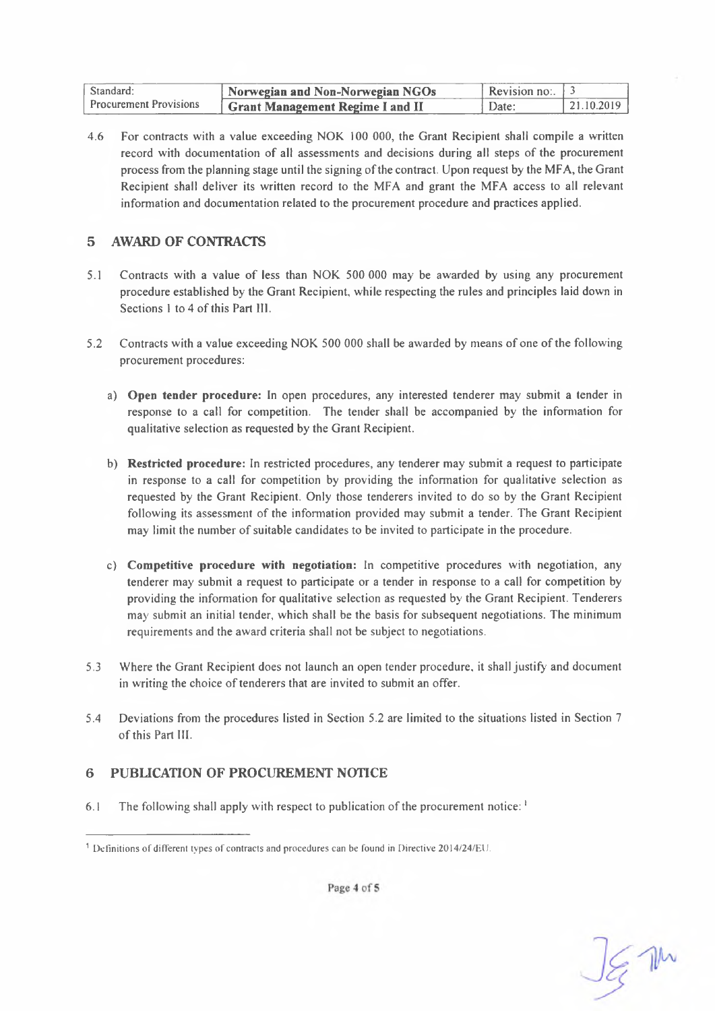| Standard:                     | Norwegian and Non-Norwegian NGOs              | . Revision no: $\pm 3$ |            |
|-------------------------------|-----------------------------------------------|------------------------|------------|
| <b>Procurement Provisions</b> | <sup>I</sup> Grant Management Regime I and II | Date:                  | 21.10.2019 |

4.6 For contracts with a value exceeding NOK 100 000, the Grant Recipient shall compile a written record with documentation of all assessments and decisions during all steps of the procurement process from the planning stage until the signing ofthe contract. Upon request by the MFA, the Grant Recipient shall deliver its written record to the MFA and grant the MFA access to all relevant information and documentation related to the procurement procedure and practices applied.

#### **5 AWARD OF CONTRACTS**

- 5.1 Contracts with a value of less than NOK 500 000 may be awarded by using any procurement procedure established by the Grant Recipient, while respecting the rules and principles laid down in Sections 1 to 4 of this Part III.
- 5.2 Contracts with a value exceeding NOK 500 000 shall be awarded by means of one ofthe following procurement procedures:
	- a) **Open tender procedure:** In open procedures, any interested tenderer may submit a tender in response to a cal! for competition. The tender shall be accompanied by the information for qualitative selection as requested by the Grant Recipient.
	- b) **Restricted procedure:** In restricted procedures, any tenderer may submit a request to participate in response to a call for competition by providing the information for qualitative selection as requested by the Grant Recipient. Only those tenderers invited to do so by the Grant Recipient following its assessment of the information provided may submit a tender. The Grant Recipient may limit the number of suitable candidates to be invited to participate in the procedure.
	- c) **Competitive procedure with negotiation:** In competitive procedures with negotiation, any tenderer may submit a request to participate or a tender in response to a call for competition by providing the information for qualitative selection as requested by the Grant Recipient. Tenderers may submit an initial tender, which shall be the basis for subsequent negotiations. The minimum requirements and the award criteria shall not be subject to negotiations.
- 5.3 Where the Grant Recipient does not launch an open tender procedure, it shall justify and document in writing the choice of tenderers that are invited to submit an offer.
- 5.4 Deviations from the procedures listed in Section 5.2 are limited to the situations listed in Section 7 ofthis Part III.

## **6 PUBLICATION OF PROCUREMENT NOTICE**

6.1 The following shall apply with respect to publication of the procurement notice:  $1$ 

JE M

Page 4 of 5

<sup>1</sup> Definitions of different types of contracts and procedures can be found in Directive 2014/24/EU.